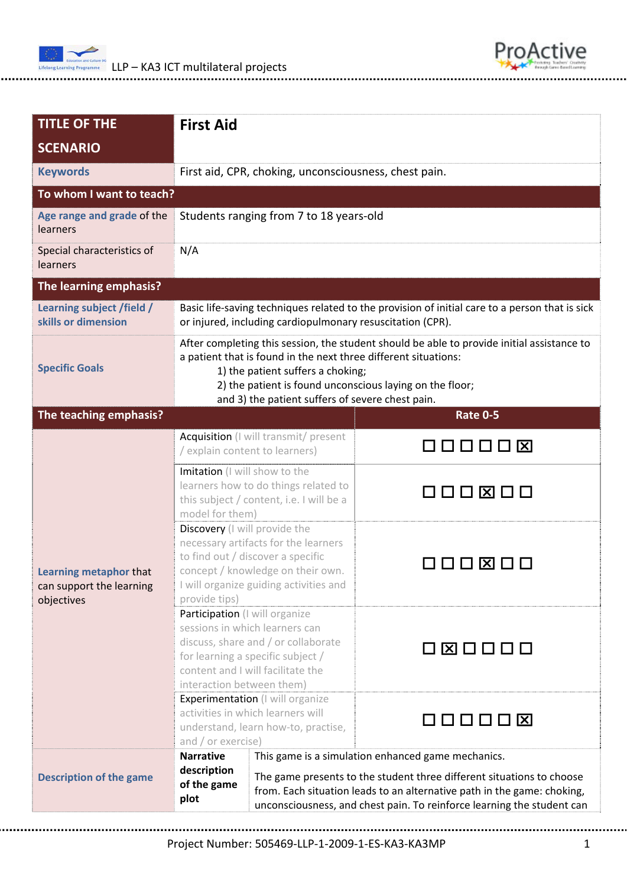



| <b>TITLE OF THE</b>                                              | <b>First Aid</b>                                                                                                                                                                                                                                                                                                                           |                 |  |
|------------------------------------------------------------------|--------------------------------------------------------------------------------------------------------------------------------------------------------------------------------------------------------------------------------------------------------------------------------------------------------------------------------------------|-----------------|--|
| <b>SCENARIO</b>                                                  |                                                                                                                                                                                                                                                                                                                                            |                 |  |
| <b>Keywords</b>                                                  | First aid, CPR, choking, unconsciousness, chest pain.                                                                                                                                                                                                                                                                                      |                 |  |
| To whom I want to teach?                                         |                                                                                                                                                                                                                                                                                                                                            |                 |  |
| Age range and grade of the<br>learners                           | Students ranging from 7 to 18 years-old                                                                                                                                                                                                                                                                                                    |                 |  |
| Special characteristics of<br>learners                           | N/A                                                                                                                                                                                                                                                                                                                                        |                 |  |
| The learning emphasis?                                           |                                                                                                                                                                                                                                                                                                                                            |                 |  |
| Learning subject /field /<br>skills or dimension                 | Basic life-saving techniques related to the provision of initial care to a person that is sick<br>or injured, including cardiopulmonary resuscitation (CPR).                                                                                                                                                                               |                 |  |
| <b>Specific Goals</b>                                            | After completing this session, the student should be able to provide initial assistance to<br>a patient that is found in the next three different situations:<br>1) the patient suffers a choking;<br>2) the patient is found unconscious laying on the floor;<br>and 3) the patient suffers of severe chest pain.                         |                 |  |
| The teaching emphasis?                                           |                                                                                                                                                                                                                                                                                                                                            | <b>Rate 0-5</b> |  |
| Learning metaphor that<br>can support the learning<br>objectives | Acquisition (I will transmit/ present<br>/ explain content to learners)                                                                                                                                                                                                                                                                    | 000008          |  |
|                                                                  | Imitation (I will show to the<br>learners how to do things related to<br>this subject / content, i.e. I will be a<br>model for them)                                                                                                                                                                                                       | 000800          |  |
|                                                                  | Discovery (I will provide the<br>necessary artifacts for the learners<br>to find out / discover a specific<br>concept / knowledge on their own.<br>I will organize guiding activities and<br>provide tips)                                                                                                                                 | 00 X 00         |  |
|                                                                  | Participation (I will organize<br>sessions in which learners can<br>discuss, share and / or collaborate<br>for learning a specific subject /<br>content and I will facilitate the<br>interaction between them)                                                                                                                             | 080000          |  |
|                                                                  | Experimentation (I will organize<br>activities in which learners will<br>understand, learn how-to, practise,<br>and / or exercise)                                                                                                                                                                                                         | 00000 <b>x</b>  |  |
| <b>Description of the game</b>                                   | <b>Narrative</b><br>This game is a simulation enhanced game mechanics.<br>description<br>The game presents to the student three different situations to choose<br>of the game<br>from. Each situation leads to an alternative path in the game: choking,<br>plot<br>unconsciousness, and chest pain. To reinforce learning the student can |                 |  |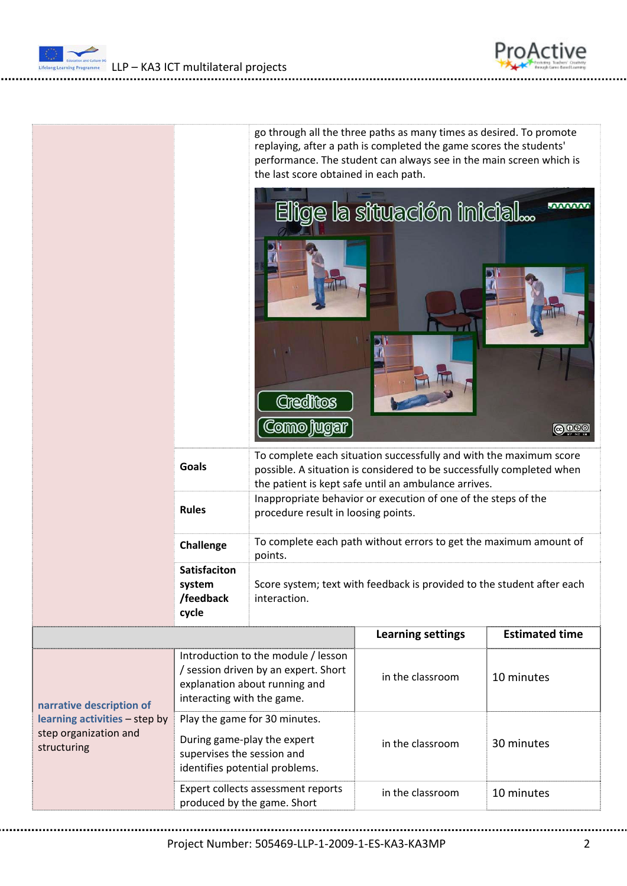LLP – KA3 ICT multilateral projects



roActive